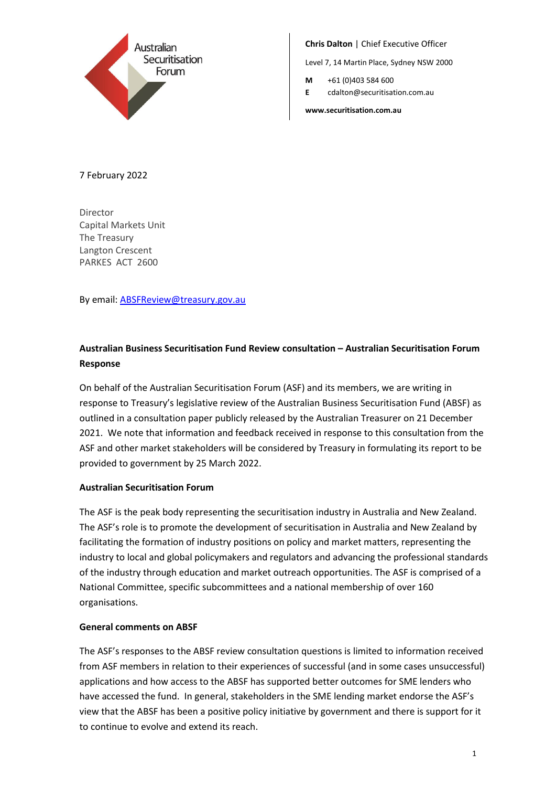

**Chris Dalton** | Chief Executive Officer

Level 7, 14 Martin Place, Sydney NSW 2000

- **M** +61 (0)403 584 600
- **E** cdalton@securitisation.com.au

**www.securitisation.com.au**

### 7 February 2022

Director Capital Markets Unit The Treasury Langton Crescent PARKES ACT 2600

By email[: ABSFReview@treasury.gov.au](mailto:ABSFReview@treasury.gov.au)

# **Australian Business Securitisation Fund Review consultation – Australian Securitisation Forum Response**

On behalf of the Australian Securitisation Forum (ASF) and its members, we are writing in response to Treasury's legislative review of the Australian Business Securitisation Fund (ABSF) as outlined in a consultation paper publicly released by the Australian Treasurer on 21 December 2021. We note that information and feedback received in response to this consultation from the ASF and other market stakeholders will be considered by Treasury in formulating its report to be provided to government by 25 March 2022.

#### **Australian Securitisation Forum**

The ASF is the peak body representing the securitisation industry in Australia and New Zealand. The ASF's role is to promote the development of securitisation in Australia and New Zealand by facilitating the formation of industry positions on policy and market matters, representing the industry to local and global policymakers and regulators and advancing the professional standards of the industry through education and market outreach opportunities. The ASF is comprised of a National Committee, specific subcommittees and a national membership of over 160 organisations.

#### **General comments on ABSF**

The ASF's responses to the ABSF review consultation questions is limited to information received from ASF members in relation to their experiences of successful (and in some cases unsuccessful) applications and how access to the ABSF has supported better outcomes for SME lenders who have accessed the fund. In general, stakeholders in the SME lending market endorse the ASF's view that the ABSF has been a positive policy initiative by government and there is support for it to continue to evolve and extend its reach.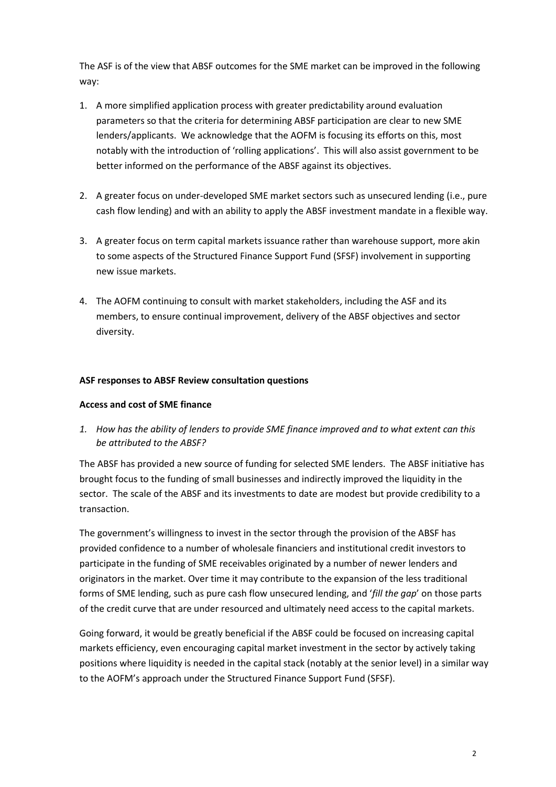The ASF is of the view that ABSF outcomes for the SME market can be improved in the following way:

- 1. A more simplified application process with greater predictability around evaluation parameters so that the criteria for determining ABSF participation are clear to new SME lenders/applicants. We acknowledge that the AOFM is focusing its efforts on this, most notably with the introduction of 'rolling applications'. This will also assist government to be better informed on the performance of the ABSF against its objectives.
- 2. A greater focus on under-developed SME market sectors such as unsecured lending (i.e., pure cash flow lending) and with an ability to apply the ABSF investment mandate in a flexible way.
- 3. A greater focus on term capital markets issuance rather than warehouse support, more akin to some aspects of the Structured Finance Support Fund (SFSF) involvement in supporting new issue markets.
- 4. The AOFM continuing to consult with market stakeholders, including the ASF and its members, to ensure continual improvement, delivery of the ABSF objectives and sector diversity.

### **ASF responses to ABSF Review consultation questions**

#### **Access and cost of SME finance**

*1. How has the ability of lenders to provide SME finance improved and to what extent can this be attributed to the ABSF?*

The ABSF has provided a new source of funding for selected SME lenders. The ABSF initiative has brought focus to the funding of small businesses and indirectly improved the liquidity in the sector. The scale of the ABSF and its investments to date are modest but provide credibility to a transaction.

The government's willingness to invest in the sector through the provision of the ABSF has provided confidence to a number of wholesale financiers and institutional credit investors to participate in the funding of SME receivables originated by a number of newer lenders and originators in the market. Over time it may contribute to the expansion of the less traditional forms of SME lending, such as pure cash flow unsecured lending, and '*fill the gap*' on those parts of the credit curve that are under resourced and ultimately need access to the capital markets.

Going forward, it would be greatly beneficial if the ABSF could be focused on increasing capital markets efficiency, even encouraging capital market investment in the sector by actively taking positions where liquidity is needed in the capital stack (notably at the senior level) in a similar way to the AOFM's approach under the Structured Finance Support Fund (SFSF).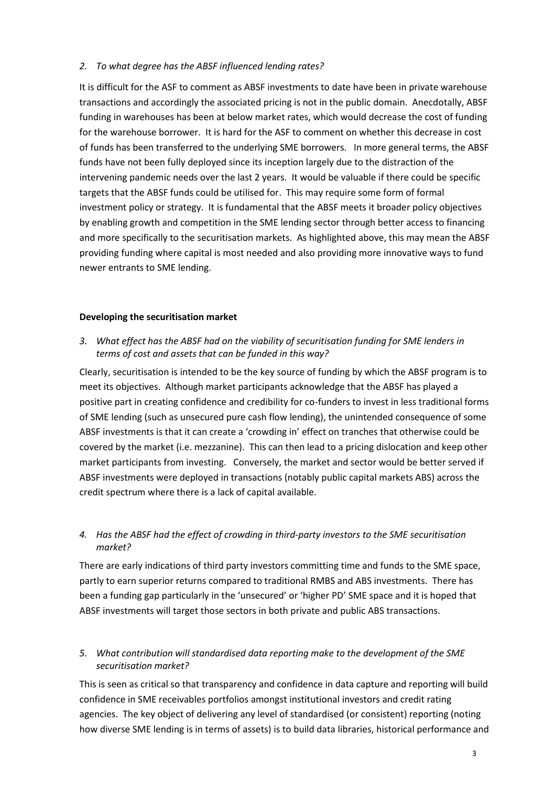### *2. To what degree has the ABSF influenced lending rates?*

It is difficult for the ASF to comment as ABSF investments to date have been in private warehouse transactions and accordingly the associated pricing is not in the public domain. Anecdotally, ABSF funding in warehouses has been at below market rates, which would decrease the cost of funding for the warehouse borrower. It is hard for the ASF to comment on whether this decrease in cost of funds has been transferred to the underlying SME borrowers. In more general terms, the ABSF funds have not been fully deployed since its inception largely due to the distraction of the intervening pandemic needs over the last 2 years. It would be valuable if there could be specific targets that the ABSF funds could be utilised for. This may require some form of formal investment policy or strategy. It is fundamental that the ABSF meets it broader policy objectives by enabling growth and competition in the SME lending sector through better access to financing and more specifically to the securitisation markets. As highlighted above, this may mean the ABSF providing funding where capital is most needed and also providing more innovative ways to fund newer entrants to SME lending.

#### **Developing the securitisation market**

# *3. What effect has the ABSF had on the viability of securitisation funding for SME lenders in terms of cost and assets that can be funded in this way?*

Clearly, securitisation is intended to be the key source of funding by which the ABSF program is to meet its objectives. Although market participants acknowledge that the ABSF has played a positive part in creating confidence and credibility for co-funders to invest in less traditional forms of SME lending (such as unsecured pure cash flow lending), the unintended consequence of some ABSF investments is that it can create a 'crowding in' effect on tranches that otherwise could be covered by the market (i.e. mezzanine). This can then lead to a pricing dislocation and keep other market participants from investing. Conversely, the market and sector would be better served if ABSF investments were deployed in transactions (notably public capital markets ABS) across the credit spectrum where there is a lack of capital available.

# *4. Has the ABSF had the effect of crowding in third-party investors to the SME securitisation market?*

There are early indications of third party investors committing time and funds to the SME space, partly to earn superior returns compared to traditional RMBS and ABS investments. There has been a funding gap particularly in the 'unsecured' or 'higher PD' SME space and it is hoped that ABSF investments will target those sectors in both private and public ABS transactions.

# *5. What contribution will standardised data reporting make to the development of the SME securitisation market?*

This is seen as critical so that transparency and confidence in data capture and reporting will build confidence in SME receivables portfolios amongst institutional investors and credit rating agencies. The key object of delivering any level of standardised (or consistent) reporting (noting how diverse SME lending is in terms of assets) is to build data libraries, historical performance and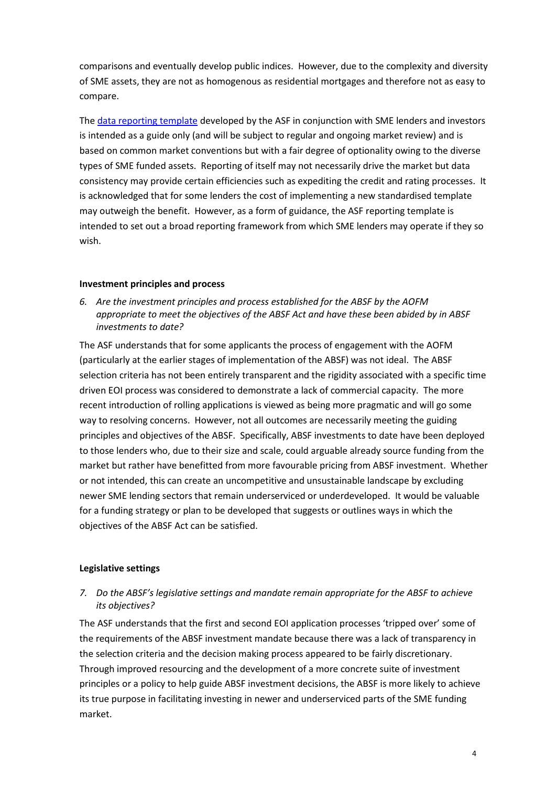comparisons and eventually develop public indices. However, due to the complexity and diversity of SME assets, they are not as homogenous as residential mortgages and therefore not as easy to compare.

The [data reporting template](https://www.securitisation.com.au/Site/media/website/Content/ASF%20Standards/ASF-SME-Data-Reporting-Template.xlsx) developed by the ASF in conjunction with SME lenders and investors is intended as a guide only (and will be subject to regular and ongoing market review) and is based on common market conventions but with a fair degree of optionality owing to the diverse types of SME funded assets. Reporting of itself may not necessarily drive the market but data consistency may provide certain efficiencies such as expediting the credit and rating processes. It is acknowledged that for some lenders the cost of implementing a new standardised template may outweigh the benefit. However, as a form of guidance, the ASF reporting template is intended to set out a broad reporting framework from which SME lenders may operate if they so wish.

### **Investment principles and process**

*6. Are the investment principles and process established for the ABSF by the AOFM appropriate to meet the objectives of the ABSF Act and have these been abided by in ABSF investments to date?*

The ASF understands that for some applicants the process of engagement with the AOFM (particularly at the earlier stages of implementation of the ABSF) was not ideal. The ABSF selection criteria has not been entirely transparent and the rigidity associated with a specific time driven EOI process was considered to demonstrate a lack of commercial capacity. The more recent introduction of rolling applications is viewed as being more pragmatic and will go some way to resolving concerns. However, not all outcomes are necessarily meeting the guiding principles and objectives of the ABSF. Specifically, ABSF investments to date have been deployed to those lenders who, due to their size and scale, could arguable already source funding from the market but rather have benefitted from more favourable pricing from ABSF investment. Whether or not intended, this can create an uncompetitive and unsustainable landscape by excluding newer SME lending sectors that remain underserviced or underdeveloped. It would be valuable for a funding strategy or plan to be developed that suggests or outlines ways in which the objectives of the ABSF Act can be satisfied.

### **Legislative settings**

# *7. Do the ABSF's legislative settings and mandate remain appropriate for the ABSF to achieve its objectives?*

The ASF understands that the first and second EOI application processes 'tripped over' some of the requirements of the ABSF investment mandate because there was a lack of transparency in the selection criteria and the decision making process appeared to be fairly discretionary. Through improved resourcing and the development of a more concrete suite of investment principles or a policy to help guide ABSF investment decisions, the ABSF is more likely to achieve its true purpose in facilitating investing in newer and underserviced parts of the SME funding market.